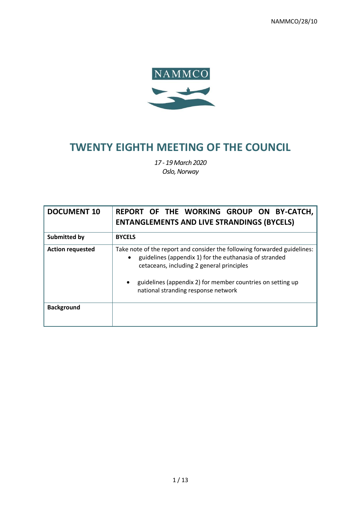NAMMCO/28/10



# **TWENTY EIGHTH MEETING OF THE COUNCIL**

*17 - 19 March 2020 Oslo, Norway*

| <b>DOCUMENT 10</b>      | REPORT OF THE WORKING GROUP ON BY-CATCH,<br><b>ENTANGLEMENTS AND LIVE STRANDINGS (BYCELS)</b>                                                                                                                                                                                                     |
|-------------------------|---------------------------------------------------------------------------------------------------------------------------------------------------------------------------------------------------------------------------------------------------------------------------------------------------|
| Submitted by            | <b>BYCELS</b>                                                                                                                                                                                                                                                                                     |
| <b>Action requested</b> | Take note of the report and consider the following forwarded guidelines:<br>guidelines (appendix 1) for the euthanasia of stranded<br>$\bullet$<br>cetaceans, including 2 general principles<br>guidelines (appendix 2) for member countries on setting up<br>national stranding response network |
| <b>Background</b>       |                                                                                                                                                                                                                                                                                                   |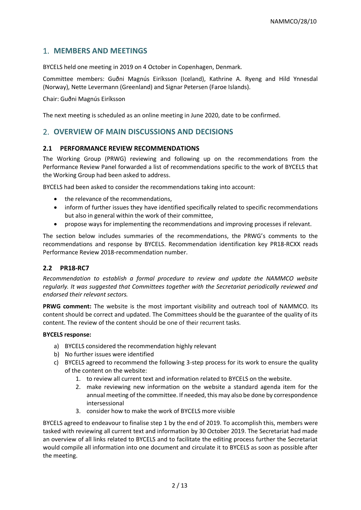# 1. **MEMBERS AND MEETINGS**

BYCELS held one meeting in 2019 on 4 October in Copenhagen, Denmark.

Committee members: Guðni Magnús Eiríksson (Iceland), Kathrine A. Ryeng and Hild Ynnesdal (Norway), Nette Levermann (Greenland) and Signar Petersen (Faroe Islands).

Chair: Guðni Magnús Eiríksson

The next meeting is scheduled as an online meeting in June 2020, date to be confirmed.

# 2. **OVERVIEW OF MAIN DISCUSSIONS AND DECISIONS**

#### **2.1 PERFORMANCE REVIEW RECOMMENDATIONS**

The Working Group (PRWG) reviewing and following up on the recommendations from the Performance Review Panel forwarded a list of recommendations specific to the work of BYCELS that the Working Group had been asked to address.

BYCELS had been asked to consider the recommendations taking into account:

- the relevance of the recommendations,
- inform of further issues they have identified specifically related to specific recommendations but also in general within the work of their committee,
- propose ways for implementing the recommendations and improving processes if relevant.

The section below includes summaries of the recommendations, the PRWG's comments to the recommendations and response by BYCELS. Recommendation identification key PR18-RCXX reads Performance Review 2018-recommendation number.

#### **2.2 PR18-RC7**

*Recommendation to establish a formal procedure to review and update the NAMMCO website regularly. It was suggested that Committees together with the Secretariat periodically reviewed and endorsed their relevant sectors.* 

**PRWG comment:** The website is the most important visibility and outreach tool of NAMMCO. Its content should be correct and updated. The Committees should be the guarantee of the quality of its content. The review of the content should be one of their recurrent tasks.

#### **BYCELS response:**

- a) BYCELS considered the recommendation highly relevant
- b) No further issues were identified
- c) BYCELS agreed to recommend the following 3-step process for its work to ensure the quality of the content on the website:
	- 1. to review all current text and information related to BYCELS on the website.
	- 2. make reviewing new information on the website a standard agenda item for the annual meeting of the committee. If needed, this may also be done by correspondence intersessional
	- 3. consider how to make the work of BYCELS more visible

BYCELS agreed to endeavour to finalise step 1 by the end of 2019. To accomplish this, members were tasked with reviewing all current text and information by 30 October 2019. The Secretariat had made an overview of all links related to BYCELS and to facilitate the editing process further the Secretariat would compile all information into one document and circulate it to BYCELS as soon as possible after the meeting.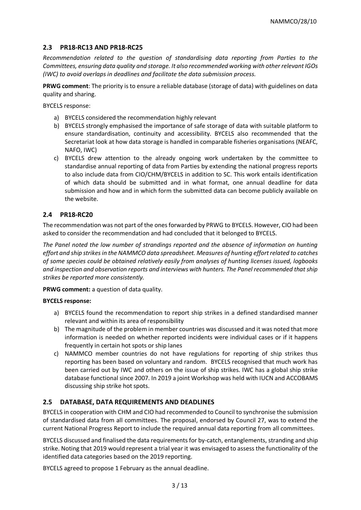#### **2.3 PR18-RC13 AND PR18-RC25**

*Recommendation related to the question of standardising data reporting from Parties to the Committees, ensuring data quality and storage. It also recommended working with other relevant IGOs (IWC) to avoid overlaps in deadlines and facilitate the data submission process.* 

**PRWG comment**: The priority is to ensure a reliable database (storage of data) with guidelines on data quality and sharing.

BYCELS response:

- a) BYCELS considered the recommendation highly relevant
- b) BYCELS strongly emphasised the importance of safe storage of data with suitable platform to ensure standardisation, continuity and accessibility. BYCELS also recommended that the Secretariat look at how data storage is handled in comparable fisheries organisations (NEAFC, NAFO, IWC)
- c) BYCELS drew attention to the already ongoing work undertaken by the committee to standardise annual reporting of data from Parties by extending the national progress reports to also include data from CIO/CHM/BYCELS in addition to SC. This work entails identification of which data should be submitted and in what format, one annual deadline for data submission and how and in which form the submitted data can become publicly available on the website.

#### **2.4 PR18-RC20**

The recommendation was not part of the ones forwarded by PRWG to BYCELS. However, CIO had been asked to consider the recommendation and had concluded that it belonged to BYCELS.

*The Panel noted the low number of strandings reported and the absence of information on hunting effort and ship strikes in the NAMMCO data spreadsheet. Measures of hunting effort related to catches of some species could be obtained relatively easily from analyses of hunting licenses issued, logbooks and inspection and observation reports and interviews with hunters. The Panel recommended that ship strikes be reported more consistently.*

**PRWG comment:** a question of data quality.

#### **BYCELS response:**

- a) BYCELS found the recommendation to report ship strikes in a defined standardised manner relevant and within its area of responsibility
- b) The magnitude of the problem in member countries was discussed and it was noted that more information is needed on whether reported incidents were individual cases or if it happens frequently in certain hot spots or ship lanes
- c) NAMMCO member countries do not have regulations for reporting of ship strikes thus reporting has been based on voluntary and random. BYCELS recognised that much work has been carried out by IWC and others on the issue of ship strikes. IWC has a global ship strike database functional since 2007. In 2019 a joint Workshop was held with IUCN and ACCOBAMS discussing ship strike hot spots.

## **2.5 DATABASE, DATA REQUIREMENTS AND DEADLINES**

BYCELS in cooperation with CHM and CIO had recommended to Council to synchronise the submission of standardised data from all committees. The proposal, endorsed by Council 27, was to extend the current National Progress Report to include the required annual data reporting from all committees.

BYCELS discussed and finalised the data requirements for by-catch, entanglements, stranding and ship strike. Noting that 2019 would represent a trial year it was envisaged to assess the functionality of the identified data categories based on the 2019 reporting.

BYCELS agreed to propose 1 February as the annual deadline.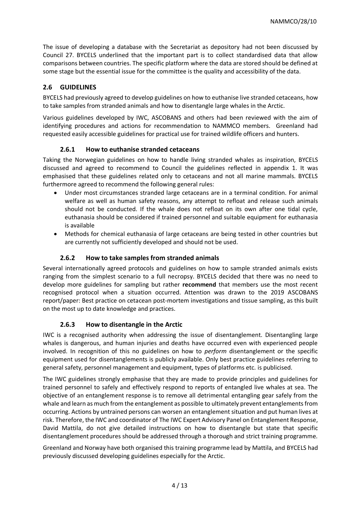The issue of developing a database with the Secretariat as depository had not been discussed by Council 27. BYCELS underlined that the important part is to collect standardised data that allow comparisons between countries. The specific platform where the data are stored should be defined at some stage but the essential issue for the committee is the quality and accessibility of the data.

## **2.6 GUIDELINES**

BYCELS had previously agreed to develop guidelines on how to euthanise live stranded cetaceans, how to take samples from stranded animals and how to disentangle large whales in the Arctic.

Various guidelines developed by IWC, ASCOBANS and others had been reviewed with the aim of identifying procedures and actions for recommendation to NAMMCO members. Greenland had requested easily accessible guidelines for practical use for trained wildlife officers and hunters.

## **2.6.1 How to euthanise stranded cetaceans**

Taking the Norwegian guidelines on how to handle living stranded whales as inspiration, BYCELS discussed and agreed to recommend to Council the guidelines reflected in appendix 1. It was emphasised that these guidelines related only to cetaceans and not all marine mammals. BYCELS furthermore agreed to recommend the following general rules:

- Under most circumstances stranded large cetaceans are in a terminal condition. For animal welfare as well as human safety reasons, any attempt to refloat and release such animals should not be conducted. If the whale does not refloat on its own after one tidal cycle, euthanasia should be considered if trained personnel and suitable equipment for euthanasia is available
- Methods for chemical euthanasia of large cetaceans are being tested in other countries but are currently not sufficiently developed and should not be used.

## **2.6.2 How to take samples from stranded animals**

Several internationally agreed protocols and guidelines on how to sample stranded animals exists ranging from the simplest scenario to a full necropsy. BYCELS decided that there was no need to develop more guidelines for sampling but rather **recommend** that members use the most recent recognised protocol when a situation occurred. Attention was drawn to the 2019 ASCOBANS report/paper: Best practice on cetacean post-mortem investigations and tissue sampling, as this built on the most up to date knowledge and practices.

## **2.6.3 How to disentangle in the Arctic**

IWC is a recognised authority when addressing the issue of disentanglement. Disentangling large whales is dangerous, and human injuries and deaths have occurred even with experienced people involved. In recognition of this no guidelines on how to *perform* disentanglement or the specific equipment used for disentanglements is publicly available. Only best practice guidelines referring to general safety, personnel management and equipment, types of platforms etc. is publicised.

The IWC guidelines strongly emphasise that they are made to provide principles and guidelines for trained personnel to safely and effectively respond to reports of entangled live whales at sea. The objective of an entanglement response is to remove all detrimental entangling gear safely from the whale and learn as much from the entanglement as possible to ultimately prevent entanglements from occurring. Actions by untrained persons can worsen an entanglement situation and put human lives at risk. Therefore, the IWC and coordinator of The IWC Expert Advisory Panel on Entanglement Response, David Mattila, do not give detailed instructions on how to disentangle but state that specific disentanglement procedures should be addressed through a thorough and strict training programme.

Greenland and Norway have both organised this training programme lead by Mattila, and BYCELS had previously discussed developing guidelines especially for the Arctic.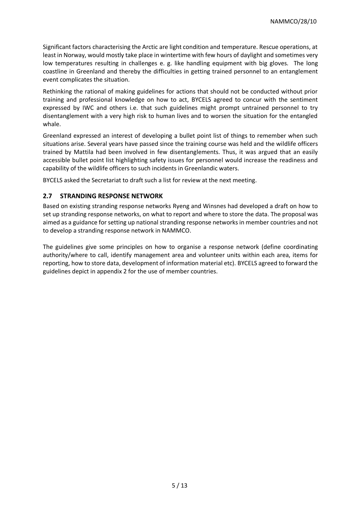Significant factors characterising the Arctic are light condition and temperature. Rescue operations, at least in Norway, would mostly take place in wintertime with few hours of daylight and sometimes very low temperatures resulting in challenges e. g. like handling equipment with big gloves. The long coastline in Greenland and thereby the difficulties in getting trained personnel to an entanglement event complicates the situation.

Rethinking the rational of making guidelines for actions that should not be conducted without prior training and professional knowledge on how to act, BYCELS agreed to concur with the sentiment expressed by IWC and others i.e. that such guidelines might prompt untrained personnel to try disentanglement with a very high risk to human lives and to worsen the situation for the entangled whale.

Greenland expressed an interest of developing a bullet point list of things to remember when such situations arise. Several years have passed since the training course was held and the wildlife officers trained by Mattila had been involved in few disentanglements. Thus, it was argued that an easily accessible bullet point list highlighting safety issues for personnel would increase the readiness and capability of the wildlife officers to such incidents in Greenlandic waters.

BYCELS asked the Secretariat to draft such a list for review at the next meeting.

## **2.7 STRANDING RESPONSE NETWORK**

Based on existing stranding response networks Ryeng and Winsnes had developed a draft on how to set up stranding response networks, on what to report and where to store the data. The proposal was aimed as a guidance for setting up national stranding response networks in member countries and not to develop a stranding response network in NAMMCO.

The guidelines give some principles on how to organise a response network (define coordinating authority/where to call, identify management area and volunteer units within each area, items for reporting, how to store data, development of information material etc). BYCELS agreed to forward the guidelines depict in appendix 2 for the use of member countries.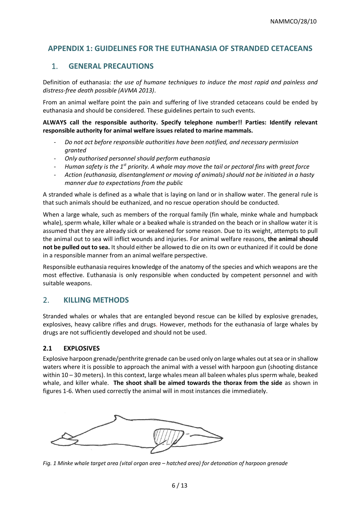# **APPENDIX 1: GUIDELINES FOR THE EUTHANASIA OF STRANDED CETACEANS**

# 1. **GENERAL PRECAUTIONS**

Definition of euthanasia: *the use of humane techniques to induce the most rapid and painless and distress-free death possible (AVMA 2013)*.

From an animal welfare point the pain and suffering of live stranded cetaceans could be ended by euthanasia and should be considered. These guidelines pertain to such events.

**ALWAYS call the responsible authority. Specify telephone number!! Parties: Identify relevant responsible authority for animal welfare issues related to marine mammals.**

- *Do not act before responsible authorities have been notified, and necessary permission granted*
- *Only authorised personnel should perform euthanasia*
- *Human safety is the 1st priority. A whale may move the tail or pectoral fins with great force*
- *Action (euthanasia, disentanglement or moving of animals) should not be initiated in a hasty manner due to expectations from the public*

A stranded whale is defined as a whale that is laying on land or in shallow water. The general rule is that such animals should be euthanized, and no rescue operation should be conducted.

When a large whale, such as members of the rorqual family (fin whale, minke whale and humpback whale), sperm whale, killer whale or a beaked whale is stranded on the beach or in shallow water it is assumed that they are already sick or weakened for some reason. Due to its weight, attempts to pull the animal out to sea will inflict wounds and injuries. For animal welfare reasons, **the animal should not be pulled out to sea.** It should either be allowed to die on its own or euthanized if it could be done in a responsible manner from an animal welfare perspective.

Responsible euthanasia requires knowledge of the anatomy of the species and which weapons are the most effective. Euthanasia is only responsible when conducted by competent personnel and with suitable weapons.

# 2. **KILLING METHODS**

Stranded whales or whales that are entangled beyond rescue can be killed by explosive grenades, explosives, heavy calibre rifles and drugs. However, methods for the euthanasia of large whales by drugs are not sufficiently developed and should not be used.

## **2.1 EXPLOSIVES**

Explosive harpoon grenade/penthrite grenade can be used only on large whales out at sea or in shallow waters where it is possible to approach the animal with a vessel with harpoon gun (shooting distance within 10 – 30 meters). In this context, large whales mean all baleen whales plus sperm whale, beaked whale, and killer whale. **The shoot shall be aimed towards the thorax from the side** as shown in figures 1-6. When used correctly the animal will in most instances die immediately.



*Fig. 1 Minke whale target area (vital organ area – hatched area) for detonation of harpoon grenade*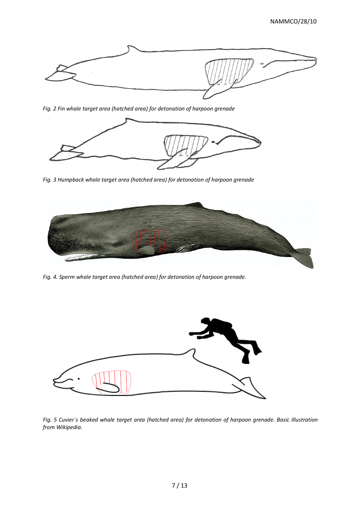

*Fig. 2 Fin whale target area (hatched area) for detonation of harpoon grenade*



*Fig. 3 Humpback whale target area (hatched area) for detonation of harpoon grenade*



*Fig. 4. Sperm whale target area (hatched area) for detonation of harpoon grenade.*



*Fig. 5 Cuvier´s beaked whale target area (hatched area) for detonation of harpoon grenade. Basic illustration from Wikipedia.*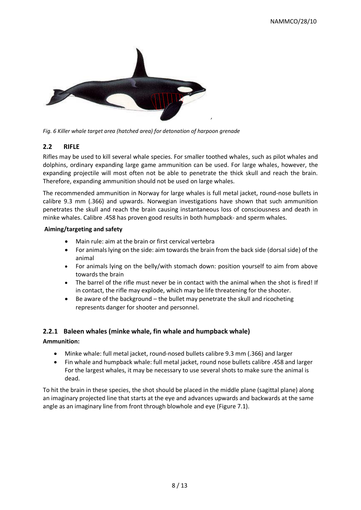

*Fig. 6 Killer whale target area (hatched area) for detonation of harpoon grenade*

## **2.2 RIFLE**

Rifles may be used to kill several whale species. For smaller toothed whales, such as pilot whales and dolphins, ordinary expanding large game ammunition can be used. For large whales, however, the expanding projectile will most often not be able to penetrate the thick skull and reach the brain. Therefore, expanding ammunition should not be used on large whales.

The recommended ammunition in Norway for large whales is full metal jacket, round-nose bullets in calibre 9.3 mm (.366) and upwards. Norwegian investigations have shown that such ammunition penetrates the skull and reach the brain causing instantaneous loss of consciousness and death in minke whales. Calibre .458 has proven good results in both humpback- and sperm whales.

#### **Aiming/targeting and safety**

- Main rule: aim at the brain or first cervical vertebra
- For animals lying on the side: aim towards the brain from the back side (dorsal side) of the animal
- For animals lying on the belly/with stomach down: position yourself to aim from above towards the brain
- The barrel of the rifle must never be in contact with the animal when the shot is fired! If in contact, the rifle may explode, which may be life threatening for the shooter.
- Be aware of the background the bullet may penetrate the skull and ricocheting represents danger for shooter and personnel.

## **2.2.1 Baleen whales (minke whale, fin whale and humpback whale)**

#### **Ammunition:**

- Minke whale: full metal jacket, round-nosed bullets calibre 9.3 mm (.366) and larger
- Fin whale and humpback whale: full metal jacket, round nose bullets calibre .458 and larger For the largest whales, it may be necessary to use several shots to make sure the animal is dead.

To hit the brain in these species, the shot should be placed in the middle plane (sagittal plane) along an imaginary projected line that starts at the eye and advances upwards and backwards at the same angle as an imaginary line from front through blowhole and eye (Figure 7.1).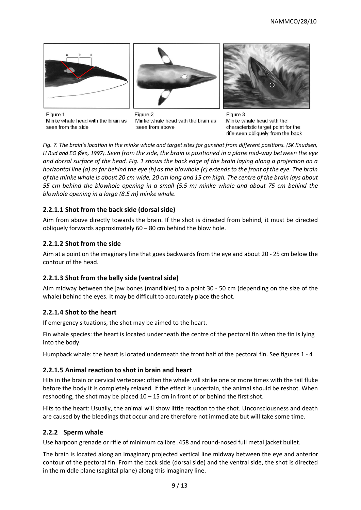





Figure 1 Minke whale head with the brain as seen from the side

Figure 2 Minke whale head with the brain as seen from above

Figure 3 Minke whale head with the characteristic target point for the rifle seen obliquely from the back

*Fig. 7. The brain's location in the minke whale and target sites for gunshot from different positions. (SK Knudsen, H Rud and EO Øen, 1997). Seen from the side, the brain is positioned in a plane mid-way between the eye and dorsal surface of the head. Fig. 1 shows the back edge of the brain laying along a projection on a horizontal line (a) as far behind the eye (b) as the blowhole (c) extends to the front of the eye. The brain of the minke whale is about 20 cm wide, 20 cm long and 15 cm high. The centre of the brain lays about 55 cm behind the blowhole opening in a small (5.5 m) minke whale and about 75 cm behind the blowhole opening in a large (8.5 m) minke whale.*

# **2.2.1.1 Shot from the back side (dorsal side)**

Aim from above directly towards the brain. If the shot is directed from behind, it must be directed obliquely forwards approximately 60 – 80 cm behind the blow hole.

## **2.2.1.2 Shot from the side**

Aim at a point on the imaginary line that goes backwards from the eye and about 20 - 25 cm below the contour of the head.

## **2.2.1.3 Shot from the belly side (ventral side)**

Aim midway between the jaw bones (mandibles) to a point 30 - 50 cm (depending on the size of the whale) behind the eyes. It may be difficult to accurately place the shot.

## **2.2.1.4 Shot to the heart**

If emergency situations, the shot may be aimed to the heart.

Fin whale species: the heart is located underneath the centre of the pectoral fin when the fin is lying into the body.

Humpback whale: the heart is located underneath the front half of the pectoral fin. See figures 1 - 4

## **2.2.1.5 Animal reaction to shot in brain and heart**

Hits in the brain or cervical vertebrae: often the whale will strike one or more times with the tail fluke before the body it is completely relaxed. If the effect is uncertain, the animal should be reshot. When reshooting, the shot may be placed  $10 - 15$  cm in front of or behind the first shot.

Hits to the heart: Usually, the animal will show little reaction to the shot. Unconsciousness and death are caused by the bleedings that occur and are therefore not immediate but will take some time.

## **2.2.2 Sperm whale**

Use harpoon grenade or rifle of minimum calibre .458 and round-nosed full metal jacket bullet.

The brain is located along an imaginary projected vertical line midway between the eye and anterior contour of the pectoral fin. From the back side (dorsal side) and the ventral side, the shot is directed in the middle plane (sagittal plane) along this imaginary line.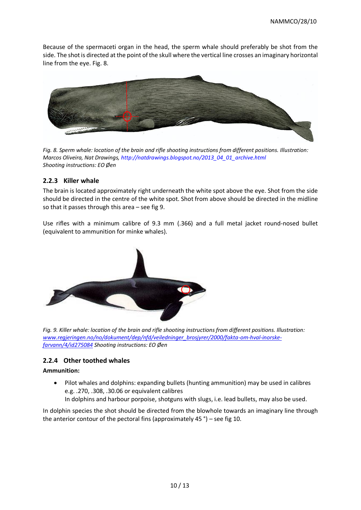Because of the spermaceti organ in the head, the sperm whale should preferably be shot from the side. The shot is directed at the point of the skull where the vertical line crosses an imaginary horizontal line from the eye. Fig. 8.



*Fig. 8. Sperm whale: location of the brain and rifle shooting instructions from different positions. Illustration: Marcos Oliveira, Nat Drawings, http://natdrawings.blogspot.no/2013\_04\_01\_archive.html Shooting instructions: EO Øen*

## **2.2.3 Killer whale**

The brain is located approximately right underneath the white spot above the eye. Shot from the side should be directed in the centre of the white spot. Shot from above should be directed in the midline so that it passes through this area – see fig 9.

Use rifles with a minimum calibre of 9.3 mm (.366) and a full metal jacket round-nosed bullet (equivalent to ammunition for minke whales).



*Fig. 9. Killer whale: location of the brain and rifle shooting instructions from different positions. Illustration: [www.regjeringen.no/no/dokument/dep/nfd/veiledninger\\_brosjyrer/2000/fakta-om-hval-inorske](http://www.regjeringen.no/no/dokument/dep/nfd/veiledninger_brosjyrer/2000/fakta-om-hval-inorske-farvann/4/id275084)[farvann/4/id275084](http://www.regjeringen.no/no/dokument/dep/nfd/veiledninger_brosjyrer/2000/fakta-om-hval-inorske-farvann/4/id275084) Shooting instructions: EO Øen*

## **2.2.4 Other toothed whales**

#### **Ammunition:**

• Pilot whales and dolphins: expanding bullets (hunting ammunition) may be used in calibres e.g. .270, .308, .30.06 or equivalent calibres In dolphins and harbour porpoise, shotguns with slugs, i.e. lead bullets, may also be used.

In dolphin species the shot should be directed from the blowhole towards an imaginary line through the anterior contour of the pectoral fins (approximately 45 °) – see fig 10.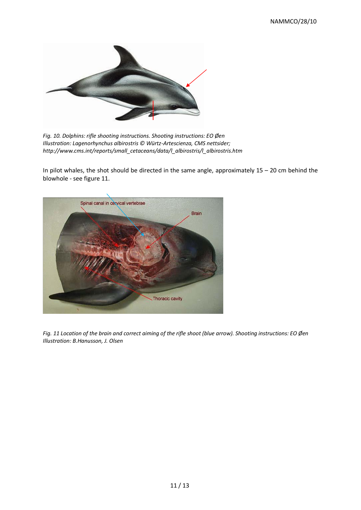

*Fig. 10. Dolphins: rifle shooting instructions. Shooting instructions: EO Øen Illustration: Lagenorhynchus albirostris © Würtz-Artescienza, CMS nettsider; http://www.cms.int/reports/small\_cetaceans/data/l\_albirostris/l\_albirostris.htm* 

In pilot whales, the shot should be directed in the same angle, approximately  $15 - 20$  cm behind the blowhole - see figure 11.



*Fig. 11 Location of the brain and correct aiming of the rifle shoot (blue arrow). Shooting instructions: EO Øen Illustration: B.Hanusson, J. Olsen*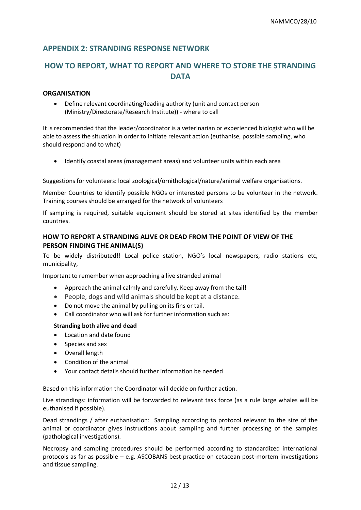# **APPENDIX 2: STRANDING RESPONSE NETWORK**

# **HOW TO REPORT, WHAT TO REPORT AND WHERE TO STORE THE STRANDING DATA**

#### **ORGANISATION**

• Define relevant coordinating/leading authority (unit and contact person (Ministry/Directorate/Research Institute)) - where to call

It is recommended that the leader/coordinator is a veterinarian or experienced biologist who will be able to assess the situation in order to initiate relevant action (euthanise, possible sampling, who should respond and to what)

• Identify coastal areas (management areas) and volunteer units within each area

Suggestions for volunteers: local zoological/ornithological/nature/animal welfare organisations.

Member Countries to identify possible NGOs or interested persons to be volunteer in the network. Training courses should be arranged for the network of volunteers

If sampling is required, suitable equipment should be stored at sites identified by the member countries.

## **HOW TO REPORT A STRANDING ALIVE OR DEAD FROM THE POINT OF VIEW OF THE PERSON FINDING THE ANIMAL(S)**

To be widely distributed!! Local police station, NGO's local newspapers, radio stations etc, municipality,

Important to remember when approaching a live stranded animal

- Approach the animal calmly and carefully. Keep away from the tail!
- People, dogs and wild animals should be kept at a distance.
- Do not move the animal by pulling on its fins or tail.
- Call coordinator who will ask for further information such as:

#### **Stranding both alive and dead**

- Location and date found
- Species and sex
- Overall length
- Condition of the animal
- Your contact details should further information be needed

Based on this information the Coordinator will decide on further action.

Live strandings: information will be forwarded to relevant task force (as a rule large whales will be euthanised if possible).

Dead strandings / after euthanisation: Sampling according to protocol relevant to the size of the animal or coordinator gives instructions about sampling and further processing of the samples (pathological investigations).

Necropsy and sampling procedures should be performed according to standardized international protocols as far as possible – e.g. ASCOBANS best practice on cetacean post-mortem investigations and tissue sampling.